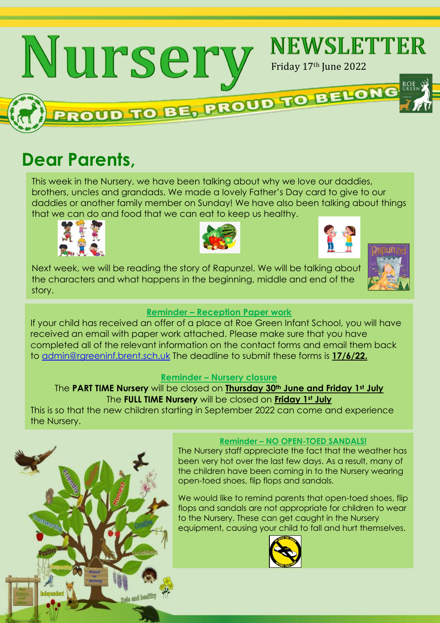

# **Dear Parents,**

This week in the Nursery, we have been talking about why we love our daddies, brothers, uncles and grandads. We made a lovely Father's Day card to give to our daddies or another family member on Sunday! We have also been talking about things that we can do and food that we can eat to keep us healthy.





Next week, we will be reading the story of Rapunzel. We will be talking about the characters and what happens in the beginning, middle and end of the story.



#### **Reminder – Reception Paper work**

If your child has received an offer of a place at Roe Green Infant School, you will have received an email with paper work attached. Please make sure that you have completed all of the relevant information on the contact forms and email them back to [admin@rgreeninf.brent.sch.uk](mailto:admin@rgreeninf.brent.sch.uk) The deadline to submit these forms is **17/6/22.**

#### **Reminder – Nursery closure**

#### The **PART TIME Nursery** will be closed on **Thursday 30th June and Friday 1st July** The **FULL TIME Nursery** will be closed on **Friday 1st July**

This is so that the new children starting in September 2022 can come and experience the Nursery.



#### **Reminder – NO OPEN-TOED SANDALS!**

The Nursery staff appreciate the fact that the weather has been very hot over the last few days. As a result, many of the children have been coming in to the Nursery wearing open-toed shoes, flip flops and sandals.

We would like to remind parents that open-toed shoes, flip flops and sandals are not appropriate for children to wear to the Nursery. These can get caught in the Nursery equipment, causing your child to fall and hurt themselves.